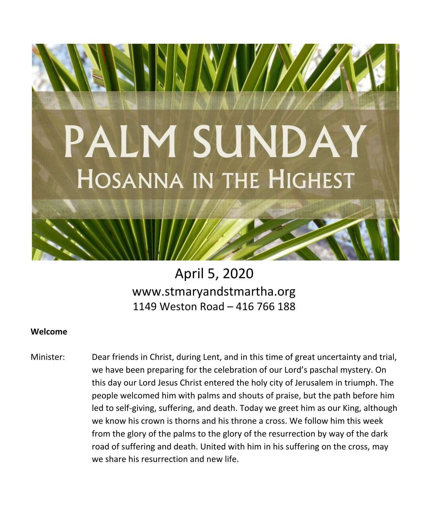

# April 5, 2020 [www.stm](http://www.st/)aryandstmartha.org 1149 Weston Road – 416 766 188

## **Welcome**

Minister: Dear friends in Christ, during Lent, and in this time of great uncertainty and trial, we have been preparing for the celebration of our Lord's paschal mystery. On this day our Lord Jesus Christ entered the holy city of Jerusalem in triumph. The people welcomed him with palms and shouts of praise, but the path before him led to self-giving, suffering, and death. Today we greet him as our King, although we know his crown is thorns and his throne a cross. We follow him this week from the glory of the palms to the glory of the resurrection by way of the dark road of suffering and death. United with him in his suffering on the cross, may we share his resurrection and new life.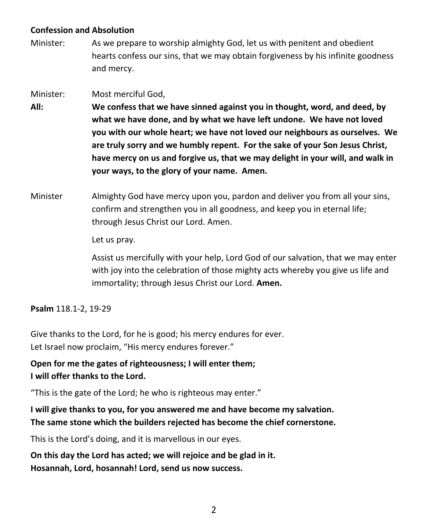## **Confession and Absolution**

Minister: As we prepare to worship almighty God, let us with penitent and obedient hearts confess our sins, that we may obtain forgiveness by his infinite goodness and mercy.

## Minister: Most merciful God,

- **All: We confess that we have sinned against you in thought, word, and deed, by what we have done, and by what we have left undone. We have not loved you with our whole heart; we have not loved our neighbours as ourselves. We are truly sorry and we humbly repent. For the sake of your Son Jesus Christ, have mercy on us and forgive us, that we may delight in your will, and walk in your ways, to the glory of your name. Amen.**
- Minister Almighty God have mercy upon you, pardon and deliver you from all your sins, confirm and strengthen you in all goodness, and keep you in eternal life; through Jesus Christ our Lord. Amen.

Let us pray.

Assist us mercifully with your help, Lord God of our salvation, that we may enter with joy into the celebration of those mighty acts whereby you give us life and immortality; through Jesus Christ our Lord. **Amen.**

**Psalm** 118.1-2, 19-29

Give thanks to the Lord, for he is good; his mercy endures for ever. Let Israel now proclaim, "His mercy endures forever."

**Open for me the gates of righteousness; I will enter them; I will offer thanks to the Lord.**

"This is the gate of the Lord; he who is righteous may enter."

**I will give thanks to you, for you answered me and have become my salvation. The same stone which the builders rejected has become the chief cornerstone.**

This is the Lord's doing, and it is marvellous in our eyes.

**On this day the Lord has acted; we will rejoice and be glad in it. Hosannah, Lord, hosannah! Lord, send us now success.**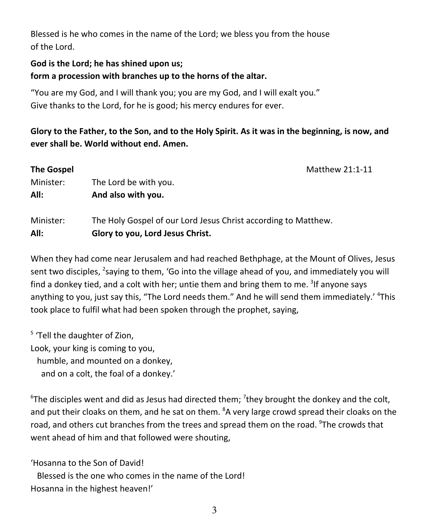Blessed is he who comes in the name of the Lord; we bless you from the house of the Lord.

## **God is the Lord; he has shined upon us; form a procession with branches up to the horns of the altar.**

"You are my God, and I will thank you; you are my God, and I will exalt you." Give thanks to the Lord, for he is good; his mercy endures for ever.

Glory to the Father, to the Son, and to the Holy Spirit. As it was in the beginning, is now, and **ever shall be. World without end. Amen.**

| <b>The Gospel</b> | Matthew 21:1-11                                                                                    |  |
|-------------------|----------------------------------------------------------------------------------------------------|--|
| Minister:         | The Lord be with you.                                                                              |  |
| All:              | And also with you.                                                                                 |  |
| Minister:<br>All: | The Holy Gospel of our Lord Jesus Christ according to Matthew.<br>Glory to you, Lord Jesus Christ. |  |

When they had come near Jerusalem and had reached Bethphage, at the Mount of Olives, Jesus sent two disciples, <sup>2</sup>saying to them, 'Go into the village ahead of you, and immediately you will find a donkey tied, and a colt with her; untie them and bring them to me. <sup>3</sup>If anyone says anything to you, just say this, "The Lord needs them." And he will send them immediately.' <sup>4</sup>This took place to fulfil what had been spoken through the prophet, saying,

<sup>5</sup> 'Tell the daughter of Zion, Look, your king is coming to you, humble, and mounted on a donkey, and on a colt, the foal of a donkey.'

 $6$ The disciples went and did as Jesus had directed them; <sup>7</sup>they brought the donkey and the colt, and put their cloaks on them, and he sat on them. <sup>8</sup>A very large crowd spread their cloaks on the road, and others cut branches from the trees and spread them on the road. <sup>9</sup>The crowds that went ahead of him and that followed were shouting,

'Hosanna to the Son of David! Blessed is the one who comes in the name of the Lord! Hosanna in the highest heaven!'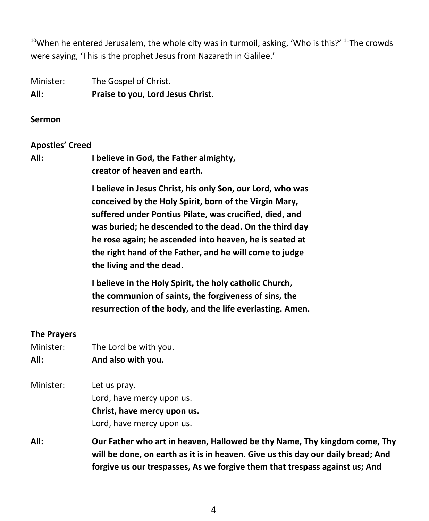$^{10}$ When he entered Jerusalem, the whole city was in turmoil, asking, 'Who is this?'  $^{11}$ The crowds were saying, 'This is the prophet Jesus from Nazareth in Galilee.'

Minister: The Gospel of Christ. **All: Praise to you, Lord Jesus Christ.**

#### **Sermon**

#### **Apostles' Creed**

**All: I believe in God, the Father almighty, creator of heaven and earth.**

> **I believe in Jesus Christ, his only Son, our Lord, who was conceived by the Holy Spirit, born of the Virgin Mary, suffered under Pontius Pilate, was crucified, died, and was buried; he descended to the dead. On the third day he rose again; he ascended into heaven, he is seated at the right hand of the Father, and he will come to judge the living and the dead.**

> **I believe in the Holy Spirit, the holy catholic Church, the communion of saints, the forgiveness of sins, the resurrection of the body, and the life everlasting. Amen.**

#### **The Prayers**

| Minister: | The Lord be with you.                                                            |
|-----------|----------------------------------------------------------------------------------|
| All:      | And also with you.                                                               |
| Minister: | Let us pray.                                                                     |
|           | Lord, have mercy upon us.                                                        |
|           | Christ, have mercy upon us.                                                      |
|           | Lord, have mercy upon us.                                                        |
| All:      | Our Father who art in heaven, Hallowed be thy Name, Thy kingdom come, Thy        |
|           | will be done, on earth as it is in heaven. Give us this day our daily bread; And |
|           | forgive us our trespasses, As we forgive them that trespass against us; And      |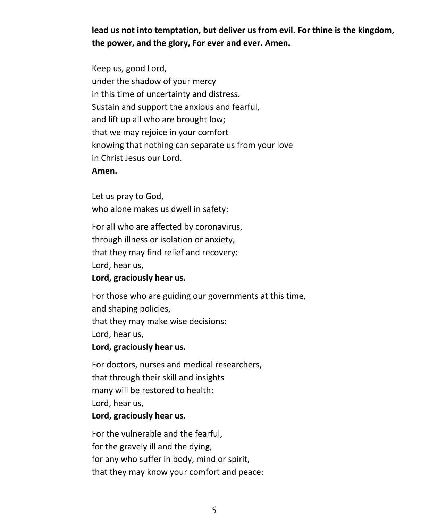**lead us not into temptation, but deliver us from evil. For thine is the kingdom, the power, and the glory, For ever and ever. Amen.**

Keep us, good Lord, under the shadow of your mercy in this time of uncertainty and distress. Sustain and support the anxious and fearful, and lift up all who are brought low; that we may rejoice in your comfort knowing that nothing can separate us from your love in Christ Jesus our Lord.

#### **Amen.**

Let us pray to God, who alone makes us dwell in safety:

For all who are affected by coronavirus, through illness or isolation or anxiety, that they may find relief and recovery: Lord, hear us,

**Lord, graciously hear us.**

For those who are guiding our governments at this time, and shaping policies, that they may make wise decisions: Lord, hear us, **Lord, graciously hear us.**

For doctors, nurses and medical researchers, that through their skill and insights many will be restored to health: Lord, hear us,

## **Lord, graciously hear us.**

For the vulnerable and the fearful, for the gravely ill and the dying, for any who suffer in body, mind or spirit, that they may know your comfort and peace: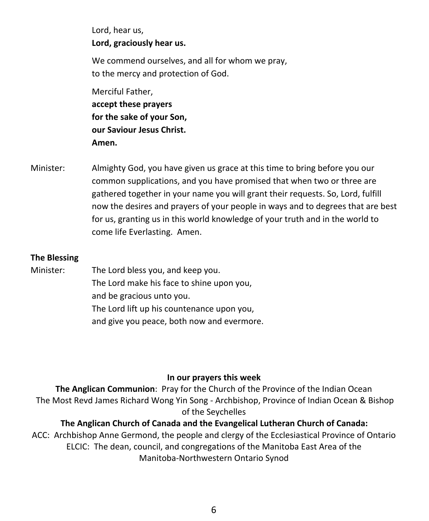Lord, hear us, **Lord, graciously hear us.**

We commend ourselves, and all for whom we pray, to the mercy and protection of God.

Merciful Father, **accept these prayers for the sake of your Son, our Saviour Jesus Christ. Amen.**

Minister: Almighty God, you have given us grace at this time to bring before you our common supplications, and you have promised that when two or three are gathered together in your name you will grant their requests. So, Lord, fulfill now the desires and prayers of your people in ways and to degrees that are best for us, granting us in this world knowledge of your truth and in the world to come life Everlasting. Amen.

## **The Blessing**

Minister: The Lord bless you, and keep you. The Lord make his face to shine upon you, and be gracious unto you. The Lord lift up his countenance upon you, and give you peace, both now and evermore.

#### **In our prayers this week**

**The Anglican Communion**: Pray for the Church of the Province of the Indian Ocean The Most Revd James Richard Wong Yin Song - Archbishop, Province of Indian Ocean & Bishop of the Seychelles

## **The Anglican Church of Canada and the Evangelical Lutheran Church of Canada:**

ACC: Archbishop Anne Germond, the people and clergy of the Ecclesiastical Province of Ontario ELCIC: The dean, council, and congregations of the Manitoba East Area of the Manitoba-Northwestern Ontario Synod